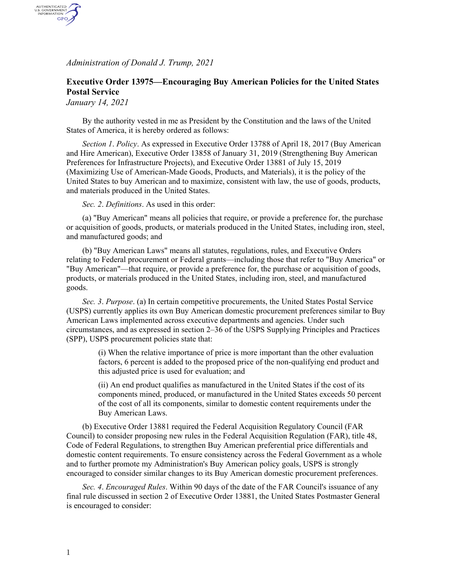*Administration of Donald J. Trump, 2021*

## **Executive Order 13975—Encouraging Buy American Policies for the United States Postal Service**

*January 14, 2021*

AUTHENTICATED<br>U.S. GOVERNMENT<br>INFORMATION GPO

> By the authority vested in me as President by the Constitution and the laws of the United States of America, it is hereby ordered as follows:

*Section 1*. *Policy*. As expressed in Executive Order 13788 of April 18, 2017 (Buy American and Hire American), Executive Order 13858 of January 31, 2019 (Strengthening Buy American Preferences for Infrastructure Projects), and Executive Order 13881 of July 15, 2019 (Maximizing Use of American-Made Goods, Products, and Materials), it is the policy of the United States to buy American and to maximize, consistent with law, the use of goods, products, and materials produced in the United States.

*Sec. 2*. *Definitions*. As used in this order:

(a) "Buy American" means all policies that require, or provide a preference for, the purchase or acquisition of goods, products, or materials produced in the United States, including iron, steel, and manufactured goods; and

(b) "Buy American Laws" means all statutes, regulations, rules, and Executive Orders relating to Federal procurement or Federal grants—including those that refer to "Buy America" or "Buy American"—that require, or provide a preference for, the purchase or acquisition of goods, products, or materials produced in the United States, including iron, steel, and manufactured goods.

*Sec. 3*. *Purpose*. (a) In certain competitive procurements, the United States Postal Service (USPS) currently applies its own Buy American domestic procurement preferences similar to Buy American Laws implemented across executive departments and agencies. Under such circumstances, and as expressed in section 2–36 of the USPS Supplying Principles and Practices (SPP), USPS procurement policies state that:

(i) When the relative importance of price is more important than the other evaluation factors, 6 percent is added to the proposed price of the non-qualifying end product and this adjusted price is used for evaluation; and

(ii) An end product qualifies as manufactured in the United States if the cost of its components mined, produced, or manufactured in the United States exceeds 50 percent of the cost of all its components, similar to domestic content requirements under the Buy American Laws.

(b) Executive Order 13881 required the Federal Acquisition Regulatory Council (FAR Council) to consider proposing new rules in the Federal Acquisition Regulation (FAR), title 48, Code of Federal Regulations, to strengthen Buy American preferential price differentials and domestic content requirements. To ensure consistency across the Federal Government as a whole and to further promote my Administration's Buy American policy goals, USPS is strongly encouraged to consider similar changes to its Buy American domestic procurement preferences.

*Sec. 4*. *Encouraged Rules*. Within 90 days of the date of the FAR Council's issuance of any final rule discussed in section 2 of Executive Order 13881, the United States Postmaster General is encouraged to consider: